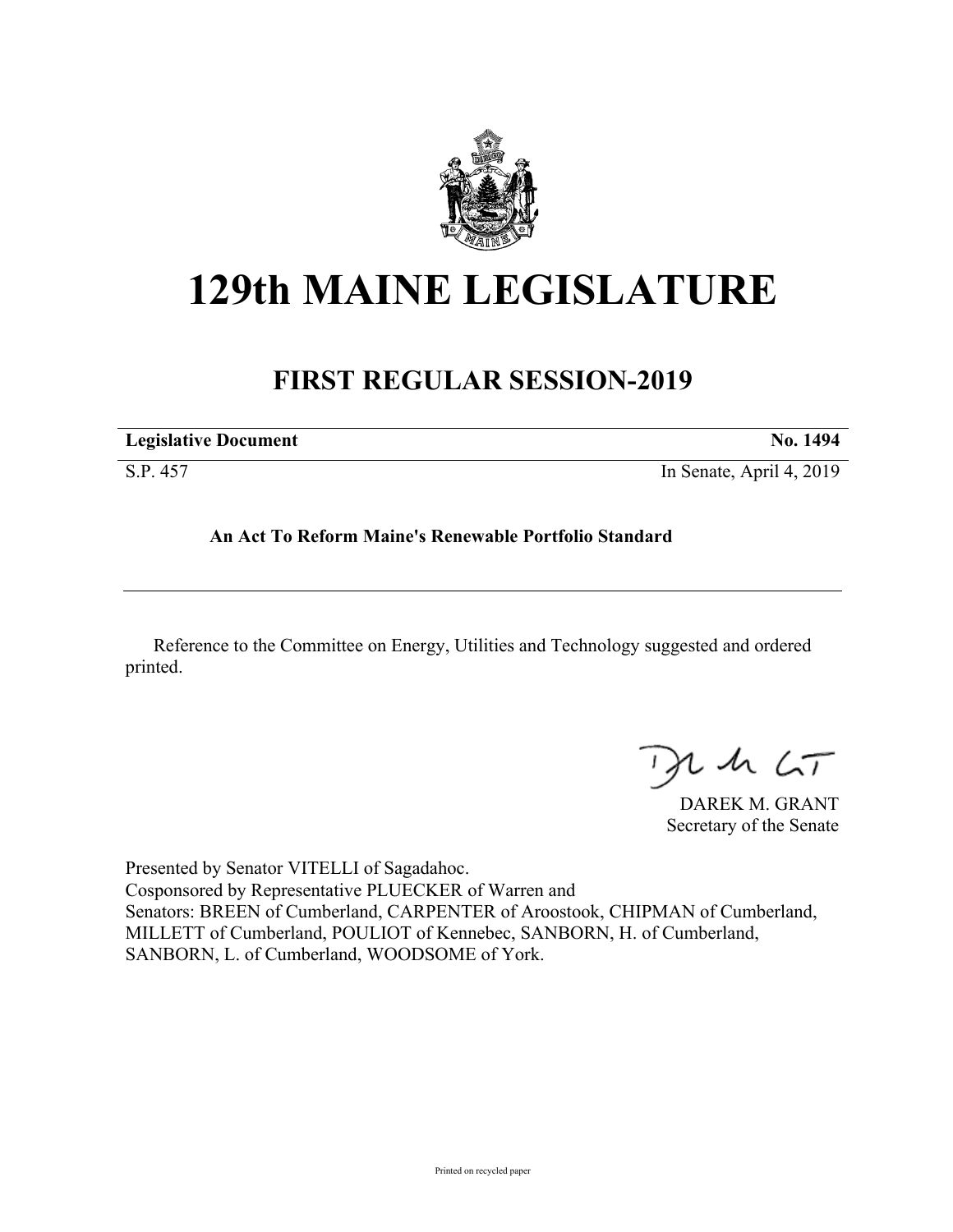

## **129th MAINE LEGISLATURE**

## **FIRST REGULAR SESSION-2019**

| <b>Legislative Document</b> | <b>No. 1494</b>          |
|-----------------------------|--------------------------|
| S.P. 457                    | In Senate, April 4, 2019 |

## **An Act To Reform Maine's Renewable Portfolio Standard**

Reference to the Committee on Energy, Utilities and Technology suggested and ordered printed.

 $125$ 

DAREK M. GRANT Secretary of the Senate

Presented by Senator VITELLI of Sagadahoc. Cosponsored by Representative PLUECKER of Warren and Senators: BREEN of Cumberland, CARPENTER of Aroostook, CHIPMAN of Cumberland, MILLETT of Cumberland, POULIOT of Kennebec, SANBORN, H. of Cumberland, SANBORN, L. of Cumberland, WOODSOME of York.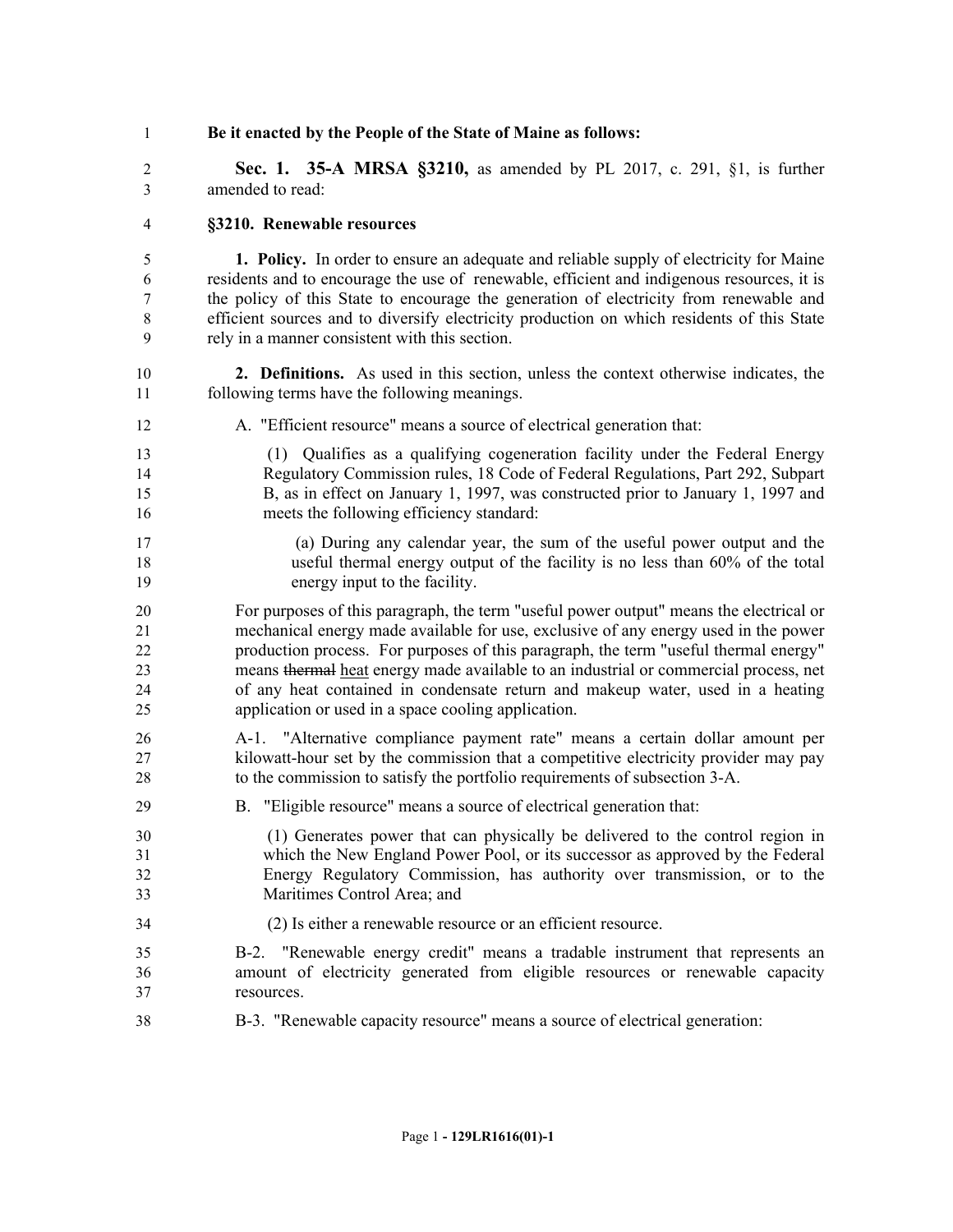**Be it enacted by the People of the State of Maine as follows:**

 **Sec. 1. 35-A MRSA §3210,** as amended by PL 2017, c. 291, §1, is further amended to read:

## **§3210. Renewable resources**

 **1. Policy.** In order to ensure an adequate and reliable supply of electricity for Maine residents and to encourage the use of renewable, efficient and indigenous resources, it is the policy of this State to encourage the generation of electricity from renewable and efficient sources and to diversify electricity production on which residents of this State rely in a manner consistent with this section.

- **2. Definitions.** As used in this section, unless the context otherwise indicates, the following terms have the following meanings.
- A. "Efficient resource" means a source of electrical generation that:
- (1) Qualifies as a qualifying cogeneration facility under the Federal Energy Regulatory Commission rules, 18 Code of Federal Regulations, Part 292, Subpart B, as in effect on January 1, 1997, was constructed prior to January 1, 1997 and meets the following efficiency standard:
- (a) During any calendar year, the sum of the useful power output and the useful thermal energy output of the facility is no less than 60% of the total energy input to the facility.

 For purposes of this paragraph, the term "useful power output" means the electrical or mechanical energy made available for use, exclusive of any energy used in the power production process. For purposes of this paragraph, the term "useful thermal energy" means thermal heat energy made available to an industrial or commercial process, net of any heat contained in condensate return and makeup water, used in a heating application or used in a space cooling application.

- A-1. "Alternative compliance payment rate" means a certain dollar amount per kilowatt-hour set by the commission that a competitive electricity provider may pay to the commission to satisfy the portfolio requirements of subsection 3-A.
- B. "Eligible resource" means a source of electrical generation that:
- (1) Generates power that can physically be delivered to the control region in which the New England Power Pool, or its successor as approved by the Federal Energy Regulatory Commission, has authority over transmission, or to the Maritimes Control Area; and
- (2) Is either a renewable resource or an efficient resource.
- B-2. "Renewable energy credit" means a tradable instrument that represents an amount of electricity generated from eligible resources or renewable capacity resources.
- B-3. "Renewable capacity resource" means a source of electrical generation: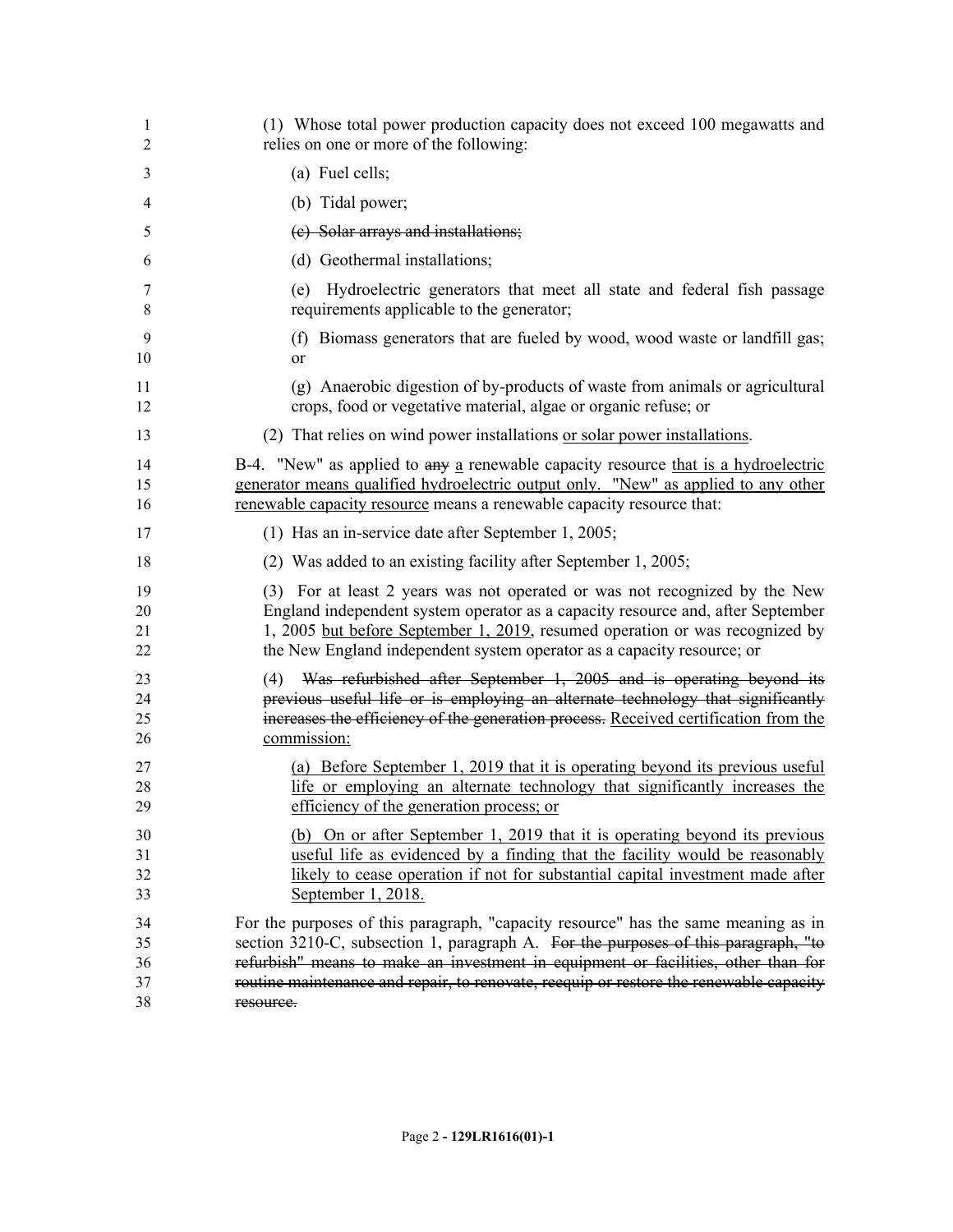| 1<br>2               | (1) Whose total power production capacity does not exceed 100 megawatts and<br>relies on one or more of the following:                                                                                                                                                                                                  |
|----------------------|-------------------------------------------------------------------------------------------------------------------------------------------------------------------------------------------------------------------------------------------------------------------------------------------------------------------------|
| 3                    | (a) Fuel cells;                                                                                                                                                                                                                                                                                                         |
| 4                    | (b) Tidal power;                                                                                                                                                                                                                                                                                                        |
| 5                    | (c) Solar arrays and installations;                                                                                                                                                                                                                                                                                     |
| 6                    | (d) Geothermal installations;                                                                                                                                                                                                                                                                                           |
| 7<br>8               | Hydroelectric generators that meet all state and federal fish passage<br>(e)<br>requirements applicable to the generator;                                                                                                                                                                                               |
| 9<br>10              | (f) Biomass generators that are fueled by wood, wood waste or landfill gas;<br>or                                                                                                                                                                                                                                       |
| 11<br>12             | (g) Anaerobic digestion of by-products of waste from animals or agricultural<br>crops, food or vegetative material, algae or organic refuse; or                                                                                                                                                                         |
| 13                   | (2) That relies on wind power installations or solar power installations.                                                                                                                                                                                                                                               |
| 14<br>15<br>16       | B-4. "New" as applied to any a renewable capacity resource that is a hydroelectric<br>generator means qualified hydroelectric output only. "New" as applied to any other<br>renewable capacity resource means a renewable capacity resource that:                                                                       |
| 17                   | (1) Has an in-service date after September 1, 2005;                                                                                                                                                                                                                                                                     |
| 18                   | (2) Was added to an existing facility after September 1, 2005;                                                                                                                                                                                                                                                          |
| 19<br>20<br>21<br>22 | (3) For at least 2 years was not operated or was not recognized by the New<br>England independent system operator as a capacity resource and, after September<br>1, 2005 but before September 1, 2019, resumed operation or was recognized by<br>the New England independent system operator as a capacity resource; or |
| 23<br>24<br>25<br>26 | Was refurbished after September 1, 2005 and is operating beyond its<br>(4)<br>previous useful life or is employing an alternate technology that significantly<br>increases the efficiency of the generation process. Received certification from the<br>commission:                                                     |
| 27<br>28<br>29       | (a) Before September 1, 2019 that it is operating beyond its previous useful<br>life or employing an alternate technology that significantly increases the<br>efficiency of the generation process; or                                                                                                                  |
| 30<br>31             | (b) On or after September 1, 2019 that it is operating beyond its previous<br>useful life as evidenced by a finding that the facility would be reasonably                                                                                                                                                               |
| 32<br>33             | likely to cease operation if not for substantial capital investment made after<br>September 1, 2018.                                                                                                                                                                                                                    |
| 34                   | For the purposes of this paragraph, "capacity resource" has the same meaning as in                                                                                                                                                                                                                                      |
| 35<br>36             | section 3210-C, subsection 1, paragraph A. For the purposes of this paragraph, "to<br>refurbish" means to make an investment in equipment or facilities, other than for                                                                                                                                                 |
| 37                   | routine maintenance and repair, to renovate, reequip or restore the renewable capacity                                                                                                                                                                                                                                  |
| 38                   | resource.                                                                                                                                                                                                                                                                                                               |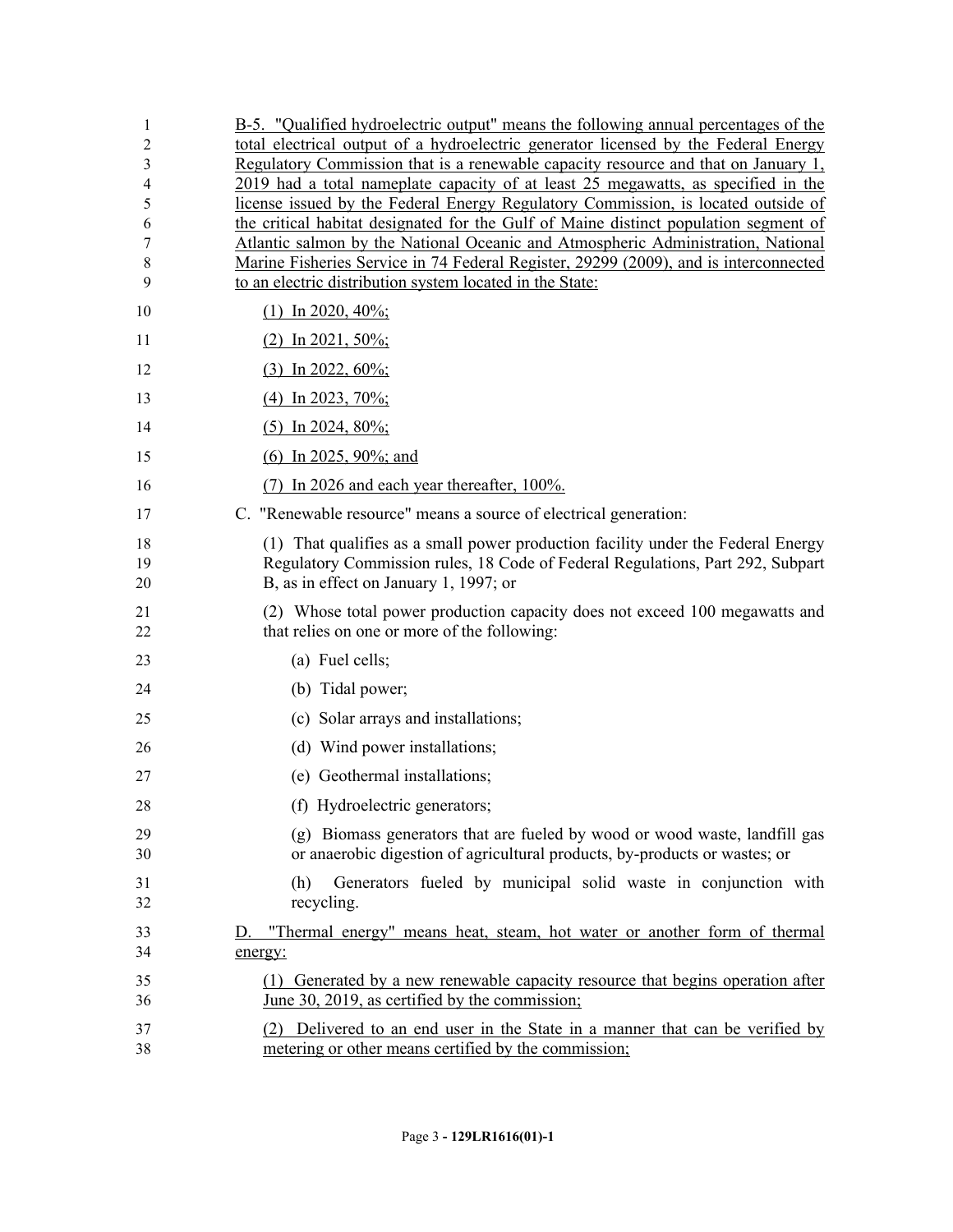| 1        | B-5. "Qualified hydroelectric output" means the following annual percentages of the                                                                                       |
|----------|---------------------------------------------------------------------------------------------------------------------------------------------------------------------------|
| 2        | total electrical output of a hydroelectric generator licensed by the Federal Energy<br>Regulatory Commission that is a renewable capacity resource and that on January 1, |
| 3<br>4   | 2019 had a total nameplate capacity of at least 25 megawatts, as specified in the                                                                                         |
| 5        | license issued by the Federal Energy Regulatory Commission, is located outside of                                                                                         |
| 6        | the critical habitat designated for the Gulf of Maine distinct population segment of                                                                                      |
| 7        | Atlantic salmon by the National Oceanic and Atmospheric Administration, National                                                                                          |
| 8        | Marine Fisheries Service in 74 Federal Register, 29299 (2009), and is interconnected                                                                                      |
| 9        | to an electric distribution system located in the State:                                                                                                                  |
| 10       | $(1)$ In 2020, 40%;                                                                                                                                                       |
| 11       | $(2)$ In 2021, 50%;                                                                                                                                                       |
| 12       | $(3)$ In 2022, 60%;                                                                                                                                                       |
| 13       | (4) In 2023, 70%;                                                                                                                                                         |
| 14       | $(5)$ In 2024, 80%;                                                                                                                                                       |
| 15       | (6) In 2025, 90%; and                                                                                                                                                     |
| 16       | $(7)$ In 2026 and each year thereafter, 100%.                                                                                                                             |
| 17       | C. "Renewable resource" means a source of electrical generation:                                                                                                          |
| 18       | (1) That qualifies as a small power production facility under the Federal Energy                                                                                          |
| 19       | Regulatory Commission rules, 18 Code of Federal Regulations, Part 292, Subpart                                                                                            |
| 20       | B, as in effect on January 1, 1997; or                                                                                                                                    |
| 21<br>22 | (2) Whose total power production capacity does not exceed 100 megawatts and<br>that relies on one or more of the following:                                               |
| 23       | (a) Fuel cells;                                                                                                                                                           |
| 24       | (b) Tidal power;                                                                                                                                                          |
| 25       | (c) Solar arrays and installations;                                                                                                                                       |
| 26       | (d) Wind power installations;                                                                                                                                             |
| 27       | (e) Geothermal installations;                                                                                                                                             |
| 28       | (f) Hydroelectric generators;                                                                                                                                             |
| 29<br>30 | (g) Biomass generators that are fueled by wood or wood waste, landfill gas<br>or anaerobic digestion of agricultural products, by-products or wastes; or                  |
| 31<br>32 | Generators fueled by municipal solid waste in conjunction with<br>(h)<br>recycling.                                                                                       |
| 33       | D. "Thermal energy" means heat, steam, hot water or another form of thermal                                                                                               |
| 34       | energy:                                                                                                                                                                   |
| 35       | (1) Generated by a new renewable capacity resource that begins operation after                                                                                            |
| 36       | June 30, 2019, as certified by the commission;                                                                                                                            |
| 37<br>38 | (2) Delivered to an end user in the State in a manner that can be verified by<br>metering or other means certified by the commission;                                     |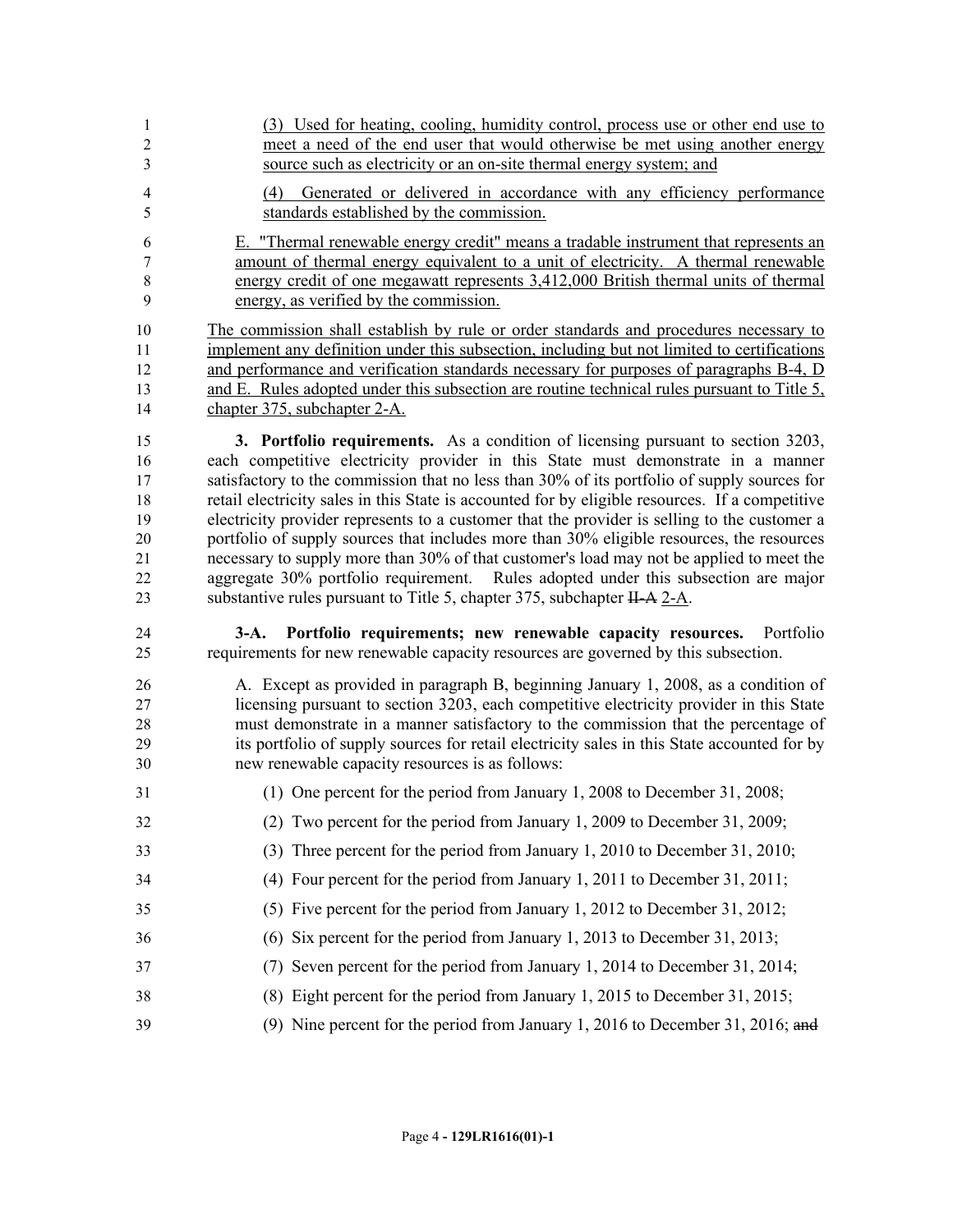- (3) Used for heating, cooling, humidity control, process use or other end use to meet a need of the end user that would otherwise be met using another energy source such as electricity or an on-site thermal energy system; and
- (4) Generated or delivered in accordance with any efficiency performance standards established by the commission.
- E. "Thermal renewable energy credit" means a tradable instrument that represents an amount of thermal energy equivalent to a unit of electricity. A thermal renewable energy credit of one megawatt represents 3,412,000 British thermal units of thermal energy, as verified by the commission.

 The commission shall establish by rule or order standards and procedures necessary to implement any definition under this subsection, including but not limited to certifications and performance and verification standards necessary for purposes of paragraphs B-4, D and E. Rules adopted under this subsection are routine technical rules pursuant to Title 5, chapter 375, subchapter 2-A.

 **3. Portfolio requirements.** As a condition of licensing pursuant to section 3203, each competitive electricity provider in this State must demonstrate in a manner 17 satisfactory to the commission that no less than 30% of its portfolio of supply sources for retail electricity sales in this State is accounted for by eligible resources. If a competitive electricity provider represents to a customer that the provider is selling to the customer a portfolio of supply sources that includes more than 30% eligible resources, the resources necessary to supply more than 30% of that customer's load may not be applied to meet the aggregate 30% portfolio requirement. Rules adopted under this subsection are major 23 substantive rules pursuant to Title 5, chapter 375, subchapter H-A 2-A.

 **3-A. Portfolio requirements; new renewable capacity resources.** Portfolio requirements for new renewable capacity resources are governed by this subsection.

 A. Except as provided in paragraph B, beginning January 1, 2008, as a condition of licensing pursuant to section 3203, each competitive electricity provider in this State must demonstrate in a manner satisfactory to the commission that the percentage of its portfolio of supply sources for retail electricity sales in this State accounted for by new renewable capacity resources is as follows:

- (1) One percent for the period from January 1, 2008 to December 31, 2008;
- (2) Two percent for the period from January 1, 2009 to December 31, 2009;
- (3) Three percent for the period from January 1, 2010 to December 31, 2010;
- (4) Four percent for the period from January 1, 2011 to December 31, 2011;
- (5) Five percent for the period from January 1, 2012 to December 31, 2012;
- (6) Six percent for the period from January 1, 2013 to December 31, 2013;
- (7) Seven percent for the period from January 1, 2014 to December 31, 2014;
- (8) Eight percent for the period from January 1, 2015 to December 31, 2015;
- (9) Nine percent for the period from January 1, 2016 to December 31, 2016; and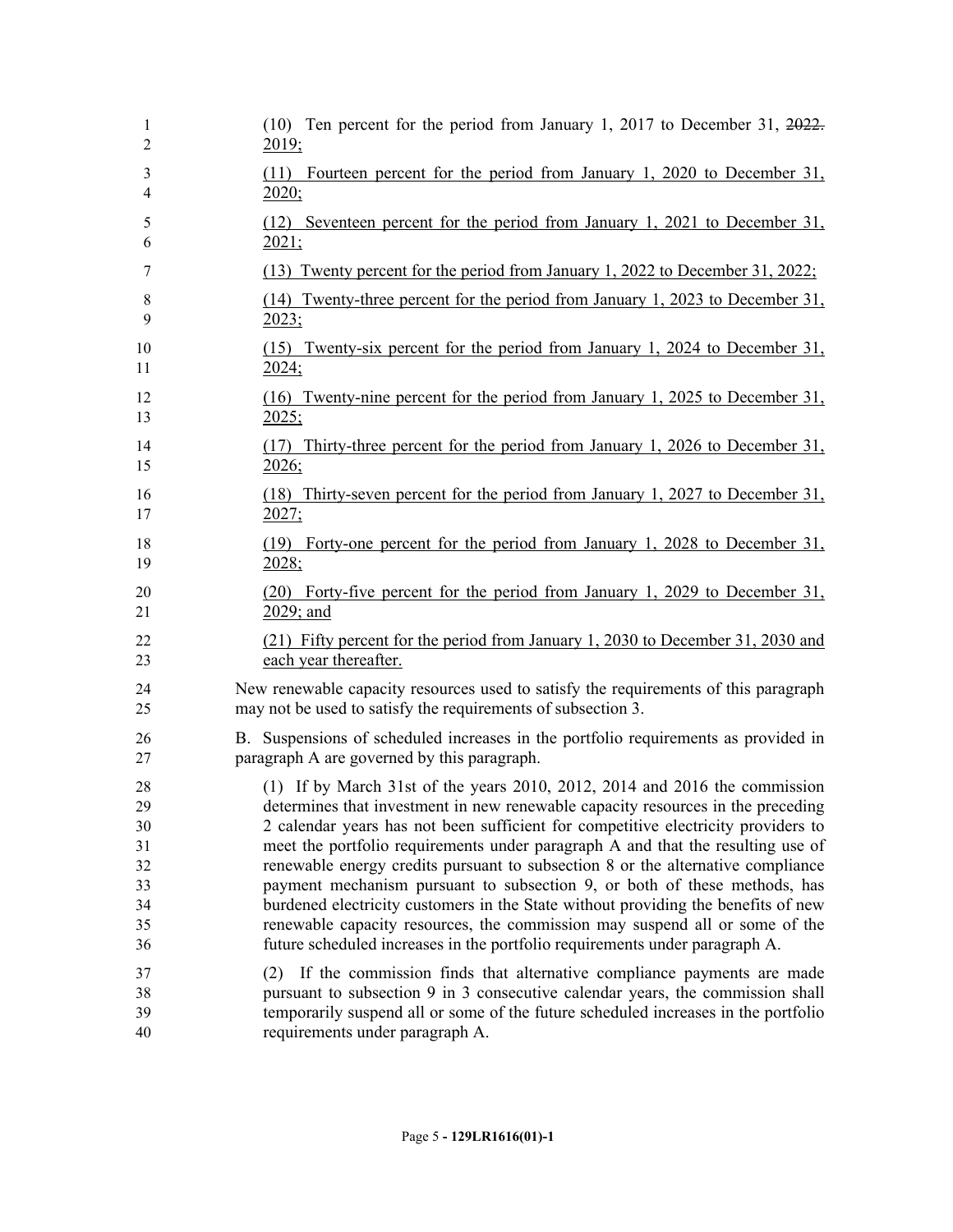| $\mathbf{1}$   | $(10)$ Ten percent for the period from January 1, 2017 to December 31, 2022.        |
|----------------|-------------------------------------------------------------------------------------|
| $\overline{2}$ | 2019;                                                                               |
| 3              | (11) Fourteen percent for the period from January 1, 2020 to December 31,           |
| 4              | 2020;                                                                               |
| 5              | (12) Seventeen percent for the period from January 1, 2021 to December 31,          |
| 6              | 2021;                                                                               |
| 7              | (13) Twenty percent for the period from January 1, 2022 to December 31, 2022;       |
| 8              | (14) Twenty-three percent for the period from January 1, 2023 to December 31,       |
| 9              | 2023;                                                                               |
| 10             | (15) Twenty-six percent for the period from January 1, 2024 to December 31,         |
| 11             | 2024:                                                                               |
| 12             | (16) Twenty-nine percent for the period from January 1, 2025 to December 31,        |
| 13             | 2025;                                                                               |
| 14             | (17) Thirty-three percent for the period from January 1, 2026 to December 31,       |
| 15             | 2026;                                                                               |
| 16             | (18) Thirty-seven percent for the period from January 1, 2027 to December 31,       |
| 17             | 2027;                                                                               |
| 18             | (19) Forty-one percent for the period from January 1, 2028 to December 31,          |
| 19             | 2028;                                                                               |
| 20             | (20) Forty-five percent for the period from January 1, 2029 to December 31,         |
| 21             | 2029; and                                                                           |
| 22             | (21) Fifty percent for the period from January 1, 2030 to December 31, 2030 and     |
| 23             | each year thereafter.                                                               |
| 24             | New renewable capacity resources used to satisfy the requirements of this paragraph |
| 25             | may not be used to satisfy the requirements of subsection 3.                        |
| 26             | B. Suspensions of scheduled increases in the portfolio requirements as provided in  |
| 27             | paragraph A are governed by this paragraph.                                         |
| 28             | (1) If by March 31st of the years 2010, 2012, 2014 and 2016 the commission          |
| 29             | determines that investment in new renewable capacity resources in the preceding     |
| 30             | 2 calendar years has not been sufficient for competitive electricity providers to   |
| 31             | meet the portfolio requirements under paragraph A and that the resulting use of     |
| 32             | renewable energy credits pursuant to subsection 8 or the alternative compliance     |
| 33             | payment mechanism pursuant to subsection 9, or both of these methods, has           |
| 34             | burdened electricity customers in the State without providing the benefits of new   |
| 35             | renewable capacity resources, the commission may suspend all or some of the         |
| 36             | future scheduled increases in the portfolio requirements under paragraph A.         |
| 37             | (2) If the commission finds that alternative compliance payments are made           |
| 38             | pursuant to subsection 9 in 3 consecutive calendar years, the commission shall      |
| 39             | temporarily suspend all or some of the future scheduled increases in the portfolio  |
| 40             | requirements under paragraph A.                                                     |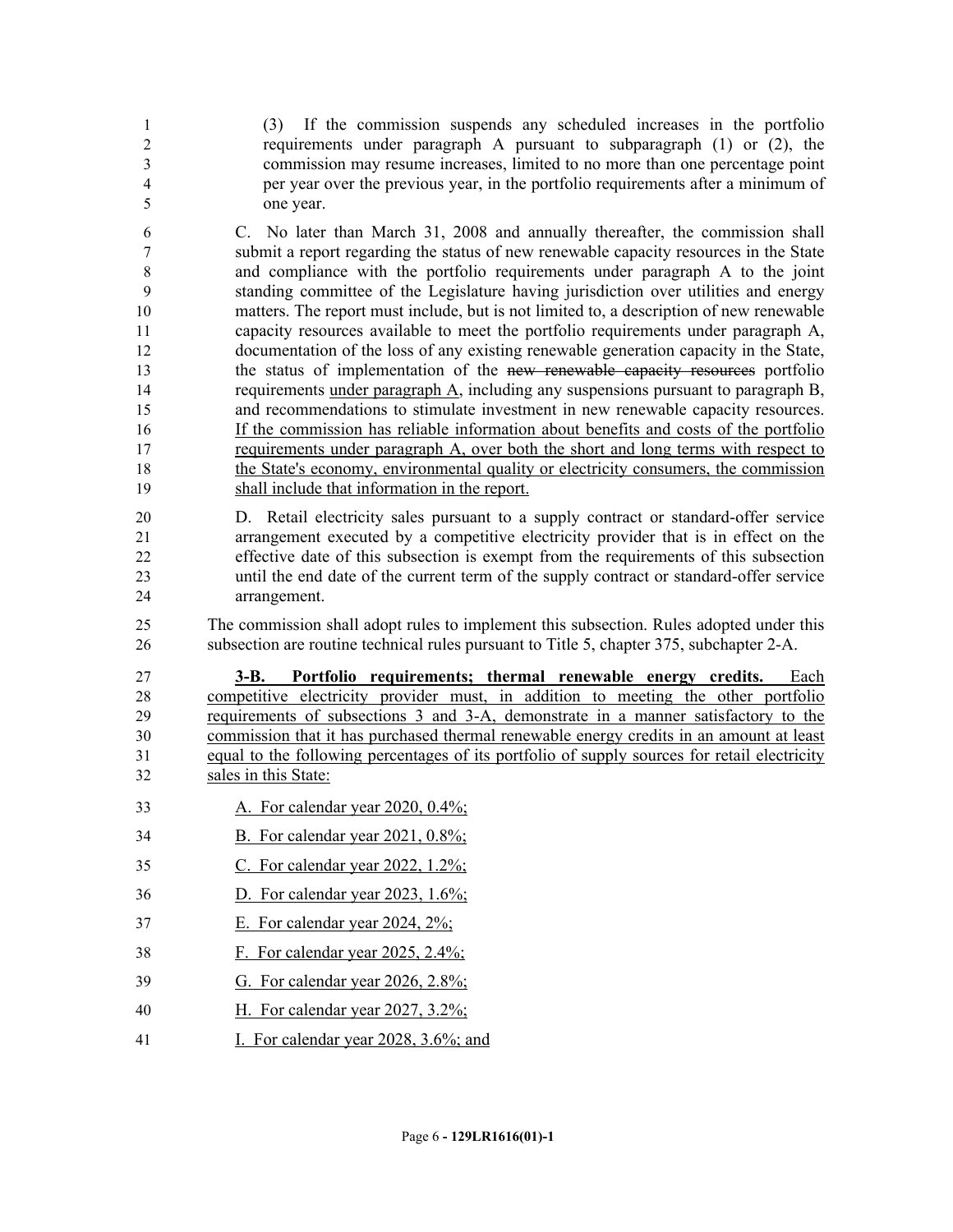(3) If the commission suspends any scheduled increases in the portfolio requirements under paragraph A pursuant to subparagraph (1) or (2), the commission may resume increases, limited to no more than one percentage point per year over the previous year, in the portfolio requirements after a minimum of one year.

 C. No later than March 31, 2008 and annually thereafter, the commission shall submit a report regarding the status of new renewable capacity resources in the State and compliance with the portfolio requirements under paragraph A to the joint standing committee of the Legislature having jurisdiction over utilities and energy matters. The report must include, but is not limited to, a description of new renewable capacity resources available to meet the portfolio requirements under paragraph A, documentation of the loss of any existing renewable generation capacity in the State, the status of implementation of the new renewable capacity resources portfolio requirements under paragraph A, including any suspensions pursuant to paragraph B, and recommendations to stimulate investment in new renewable capacity resources. If the commission has reliable information about benefits and costs of the portfolio requirements under paragraph A, over both the short and long terms with respect to the State's economy, environmental quality or electricity consumers, the commission shall include that information in the report.

 D. Retail electricity sales pursuant to a supply contract or standard-offer service arrangement executed by a competitive electricity provider that is in effect on the effective date of this subsection is exempt from the requirements of this subsection until the end date of the current term of the supply contract or standard-offer service arrangement.

 The commission shall adopt rules to implement this subsection. Rules adopted under this subsection are routine technical rules pursuant to Title 5, chapter 375, subchapter 2-A.

**3-B.** Portfolio requirements; thermal renewable energy credits. competitive electricity provider must, in addition to meeting the other portfolio requirements of subsections 3 and 3-A, demonstrate in a manner satisfactory to the commission that it has purchased thermal renewable energy credits in an amount at least equal to the following percentages of its portfolio of supply sources for retail electricity sales in this State:

- A. For calendar year 2020, 0.4%;
- B. For calendar year 2021, 0.8%;
- C. For calendar year 2022, 1.2%;
- D. For calendar year 2023, 1.6%;
- E. For calendar year 2024, 2%;
- F. For calendar year 2025, 2.4%;
- G. For calendar year 2026, 2.8%;
- H. For calendar year 2027, 3.2%;
- I. For calendar year 2028, 3.6%; and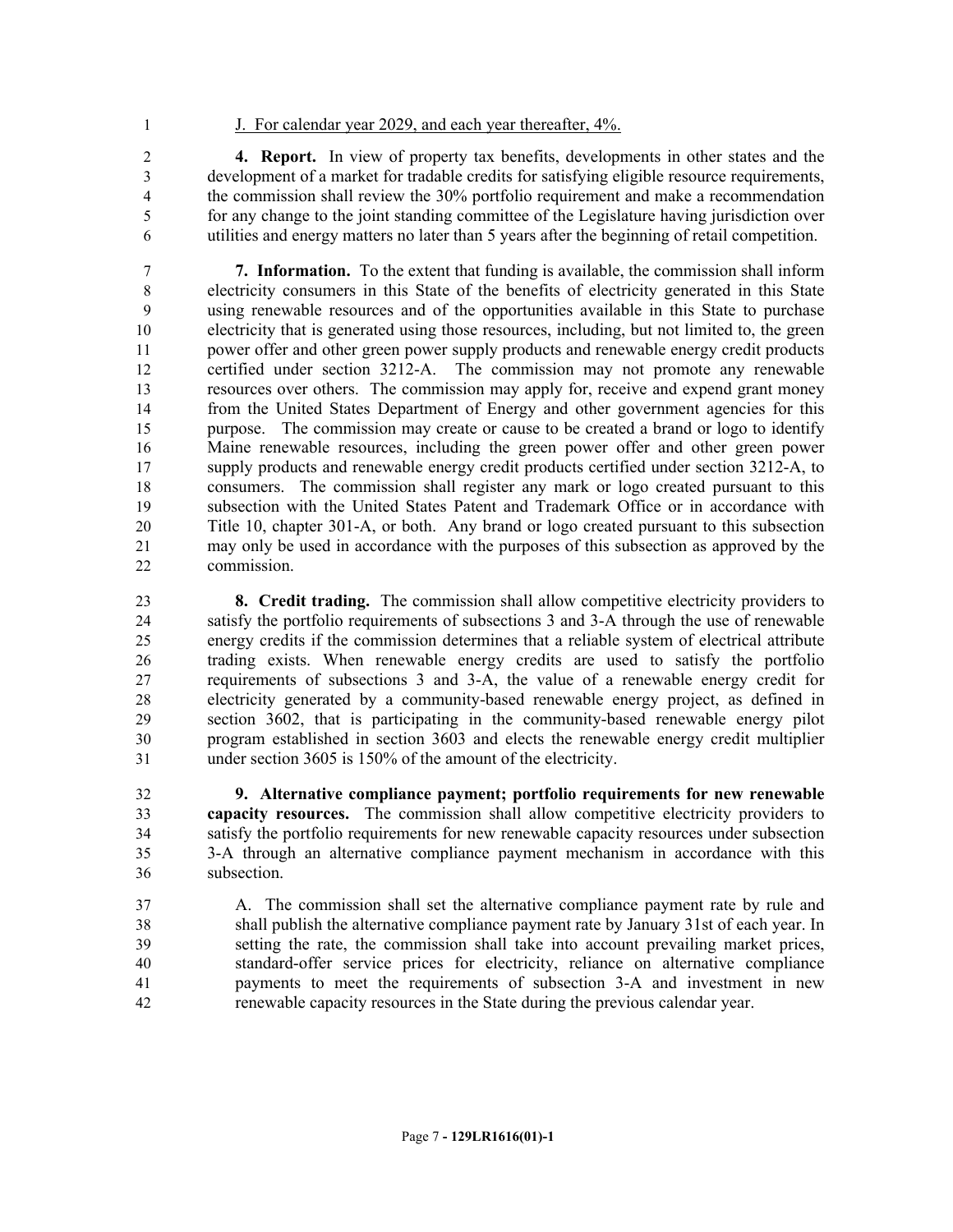- 
- J. For calendar year 2029, and each year thereafter, 4%.

 **4. Report.** In view of property tax benefits, developments in other states and the development of a market for tradable credits for satisfying eligible resource requirements, the commission shall review the 30% portfolio requirement and make a recommendation for any change to the joint standing committee of the Legislature having jurisdiction over utilities and energy matters no later than 5 years after the beginning of retail competition.

 **7. Information.** To the extent that funding is available, the commission shall inform electricity consumers in this State of the benefits of electricity generated in this State using renewable resources and of the opportunities available in this State to purchase electricity that is generated using those resources, including, but not limited to, the green power offer and other green power supply products and renewable energy credit products certified under section 3212-A. The commission may not promote any renewable resources over others. The commission may apply for, receive and expend grant money from the United States Department of Energy and other government agencies for this purpose. The commission may create or cause to be created a brand or logo to identify Maine renewable resources, including the green power offer and other green power supply products and renewable energy credit products certified under section 3212-A, to consumers. The commission shall register any mark or logo created pursuant to this subsection with the United States Patent and Trademark Office or in accordance with Title 10, chapter 301-A, or both. Any brand or logo created pursuant to this subsection may only be used in accordance with the purposes of this subsection as approved by the commission.

 **8. Credit trading.** The commission shall allow competitive electricity providers to satisfy the portfolio requirements of subsections 3 and 3-A through the use of renewable energy credits if the commission determines that a reliable system of electrical attribute trading exists. When renewable energy credits are used to satisfy the portfolio requirements of subsections 3 and 3-A, the value of a renewable energy credit for electricity generated by a community-based renewable energy project, as defined in section 3602, that is participating in the community-based renewable energy pilot program established in section 3603 and elects the renewable energy credit multiplier under section 3605 is 150% of the amount of the electricity.

 **9. Alternative compliance payment; portfolio requirements for new renewable capacity resources.** The commission shall allow competitive electricity providers to satisfy the portfolio requirements for new renewable capacity resources under subsection 3-A through an alternative compliance payment mechanism in accordance with this subsection.

 A. The commission shall set the alternative compliance payment rate by rule and shall publish the alternative compliance payment rate by January 31st of each year. In setting the rate, the commission shall take into account prevailing market prices, standard-offer service prices for electricity, reliance on alternative compliance payments to meet the requirements of subsection 3-A and investment in new renewable capacity resources in the State during the previous calendar year.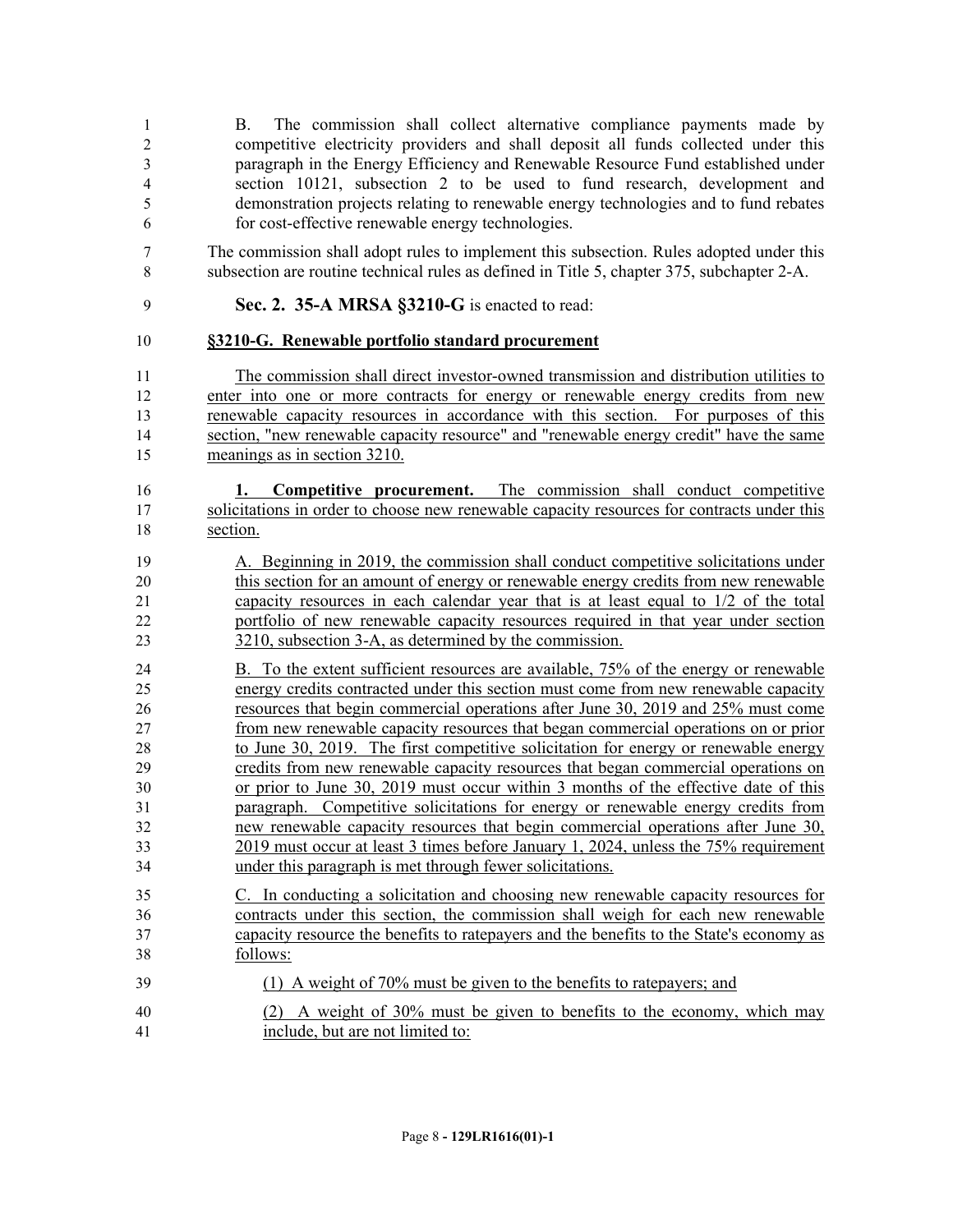| 1<br>$\overline{2}$<br>3<br>$\overline{\mathbf{4}}$<br>5<br>6 | The commission shall collect alternative compliance payments made by<br>B.<br>competitive electricity providers and shall deposit all funds collected under this<br>paragraph in the Energy Efficiency and Renewable Resource Fund established under<br>section 10121, subsection 2 to be used to fund research, development and<br>demonstration projects relating to renewable energy technologies and to fund rebates<br>for cost-effective renewable energy technologies. |
|---------------------------------------------------------------|-------------------------------------------------------------------------------------------------------------------------------------------------------------------------------------------------------------------------------------------------------------------------------------------------------------------------------------------------------------------------------------------------------------------------------------------------------------------------------|
| 7                                                             | The commission shall adopt rules to implement this subsection. Rules adopted under this                                                                                                                                                                                                                                                                                                                                                                                       |
| 8                                                             | subsection are routine technical rules as defined in Title 5, chapter 375, subchapter 2-A.                                                                                                                                                                                                                                                                                                                                                                                    |
| 9                                                             | Sec. 2. 35-A MRSA §3210-G is enacted to read:                                                                                                                                                                                                                                                                                                                                                                                                                                 |
| 10                                                            | §3210-G. Renewable portfolio standard procurement                                                                                                                                                                                                                                                                                                                                                                                                                             |
| 11                                                            | The commission shall direct investor-owned transmission and distribution utilities to                                                                                                                                                                                                                                                                                                                                                                                         |
| 12                                                            | enter into one or more contracts for energy or renewable energy credits from new                                                                                                                                                                                                                                                                                                                                                                                              |
| 13                                                            | renewable capacity resources in accordance with this section. For purposes of this                                                                                                                                                                                                                                                                                                                                                                                            |
| 14                                                            | section, "new renewable capacity resource" and "renewable energy credit" have the same                                                                                                                                                                                                                                                                                                                                                                                        |
| 15                                                            | meanings as in section 3210.                                                                                                                                                                                                                                                                                                                                                                                                                                                  |
| 16                                                            | <b>Competitive procurement.</b> The commission shall conduct competitive                                                                                                                                                                                                                                                                                                                                                                                                      |
| 17                                                            | solicitations in order to choose new renewable capacity resources for contracts under this                                                                                                                                                                                                                                                                                                                                                                                    |
| 18                                                            | section.                                                                                                                                                                                                                                                                                                                                                                                                                                                                      |
| 19                                                            | A. Beginning in 2019, the commission shall conduct competitive solicitations under                                                                                                                                                                                                                                                                                                                                                                                            |
| $20\,$                                                        | this section for an amount of energy or renewable energy credits from new renewable                                                                                                                                                                                                                                                                                                                                                                                           |
| 21                                                            | capacity resources in each calendar year that is at least equal to 1/2 of the total                                                                                                                                                                                                                                                                                                                                                                                           |
| 22                                                            | portfolio of new renewable capacity resources required in that year under section                                                                                                                                                                                                                                                                                                                                                                                             |
| 23                                                            | 3210, subsection 3-A, as determined by the commission.                                                                                                                                                                                                                                                                                                                                                                                                                        |
| 24                                                            | B. To the extent sufficient resources are available, 75% of the energy or renewable                                                                                                                                                                                                                                                                                                                                                                                           |
| 25                                                            | energy credits contracted under this section must come from new renewable capacity                                                                                                                                                                                                                                                                                                                                                                                            |
| 26                                                            | resources that begin commercial operations after June 30, 2019 and 25% must come                                                                                                                                                                                                                                                                                                                                                                                              |
| 27                                                            | from new renewable capacity resources that began commercial operations on or prior                                                                                                                                                                                                                                                                                                                                                                                            |
| 28                                                            | to June 30, 2019. The first competitive solicitation for energy or renewable energy                                                                                                                                                                                                                                                                                                                                                                                           |
| 29                                                            | credits from new renewable capacity resources that began commercial operations on                                                                                                                                                                                                                                                                                                                                                                                             |
| 30                                                            | or prior to June 30, 2019 must occur within 3 months of the effective date of this                                                                                                                                                                                                                                                                                                                                                                                            |
| 31                                                            | paragraph. Competitive solicitations for energy or renewable energy credits from                                                                                                                                                                                                                                                                                                                                                                                              |
| 32                                                            | new renewable capacity resources that begin commercial operations after June 30,                                                                                                                                                                                                                                                                                                                                                                                              |
| 33                                                            | 2019 must occur at least 3 times before January 1, 2024, unless the 75% requirement                                                                                                                                                                                                                                                                                                                                                                                           |
| 34                                                            | under this paragraph is met through fewer solicitations.                                                                                                                                                                                                                                                                                                                                                                                                                      |
| 35                                                            | C. In conducting a solicitation and choosing new renewable capacity resources for                                                                                                                                                                                                                                                                                                                                                                                             |
| 36                                                            | contracts under this section, the commission shall weigh for each new renewable                                                                                                                                                                                                                                                                                                                                                                                               |
| 37                                                            | capacity resource the benefits to ratepayers and the benefits to the State's economy as                                                                                                                                                                                                                                                                                                                                                                                       |
| 38                                                            | follows:                                                                                                                                                                                                                                                                                                                                                                                                                                                                      |
| 39                                                            | (1) A weight of 70% must be given to the benefits to ratepayers; and                                                                                                                                                                                                                                                                                                                                                                                                          |
| 40                                                            | (2) A weight of 30% must be given to benefits to the economy, which may                                                                                                                                                                                                                                                                                                                                                                                                       |
| 41                                                            | include, but are not limited to:                                                                                                                                                                                                                                                                                                                                                                                                                                              |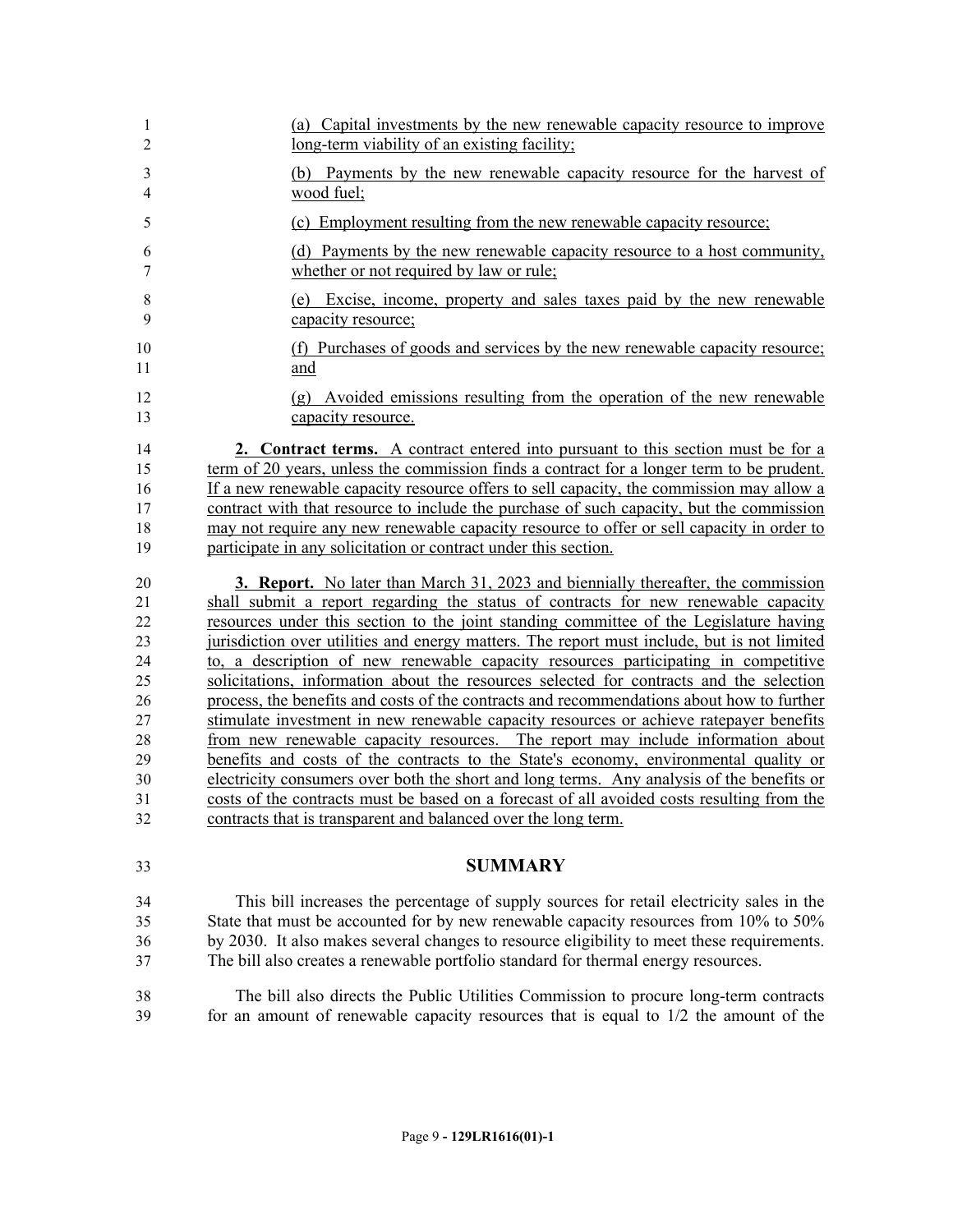| 1                   | (a) Capital investments by the new renewable capacity resource to improve                        |
|---------------------|--------------------------------------------------------------------------------------------------|
| $\overline{2}$      | long-term viability of an existing facility;                                                     |
| 3<br>$\overline{4}$ | Payments by the new renewable capacity resource for the harvest of<br>(b)<br>wood fuel;          |
| 5                   | (c) Employment resulting from the new renewable capacity resource;                               |
| 6                   | (d) Payments by the new renewable capacity resource to a host community,                         |
| 7                   | whether or not required by law or rule;                                                          |
| $\,$ $\,$           | (e) Excise, income, property and sales taxes paid by the new renewable                           |
| 9                   | capacity resource;                                                                               |
| 10                  | (f) Purchases of goods and services by the new renewable capacity resource;                      |
| 11                  | and                                                                                              |
| 12<br>13            | Avoided emissions resulting from the operation of the new renewable<br>(g)<br>capacity resource. |
| 14                  | 2. Contract terms. A contract entered into pursuant to this section must be for a                |
| 15                  | term of 20 years, unless the commission finds a contract for a longer term to be prudent.        |
| 16                  | If a new renewable capacity resource offers to sell capacity, the commission may allow a         |
| 17                  | contract with that resource to include the purchase of such capacity, but the commission         |
| 18                  | may not require any new renewable capacity resource to offer or sell capacity in order to        |
| 19                  | participate in any solicitation or contract under this section.                                  |
| 20                  | <b>3. Report.</b> No later than March 31, 2023 and biennially thereafter, the commission         |
| 21                  | shall submit a report regarding the status of contracts for new renewable capacity               |
| 22                  | resources under this section to the joint standing committee of the Legislature having           |
| 23                  | jurisdiction over utilities and energy matters. The report must include, but is not limited      |
| 24                  | to, a description of new renewable capacity resources participating in competitive               |
| 25                  | solicitations, information about the resources selected for contracts and the selection          |
| 26                  | process, the benefits and costs of the contracts and recommendations about how to further        |
| 27                  | stimulate investment in new renewable capacity resources or achieve ratepayer benefits           |
| 28                  | from new renewable capacity resources. The report may include information about                  |
| 29                  | benefits and costs of the contracts to the State's economy, environmental quality or             |
| 30                  | electricity consumers over both the short and long terms. Any analysis of the benefits or        |
| 31                  | costs of the contracts must be based on a forecast of all avoided costs resulting from the       |
| 32                  | contracts that is transparent and balanced over the long term.                                   |
| 33                  | <b>SUMMARY</b>                                                                                   |
| 34                  | This bill increases the percentage of supply sources for retail electricity sales in the         |
| 35                  | State that must be accounted for by new renewable capacity resources from 10% to 50%             |
| 36                  | by 2030. It also makes several changes to resource eligibility to meet these requirements.       |
| 37                  | The bill also creates a renewable portfolio standard for thermal energy resources.               |
| 38                  | The bill also directs the Public Utilities Commission to procure long-term contracts             |
| 39                  | for an amount of renewable capacity resources that is equal to $1/2$ the amount of the           |